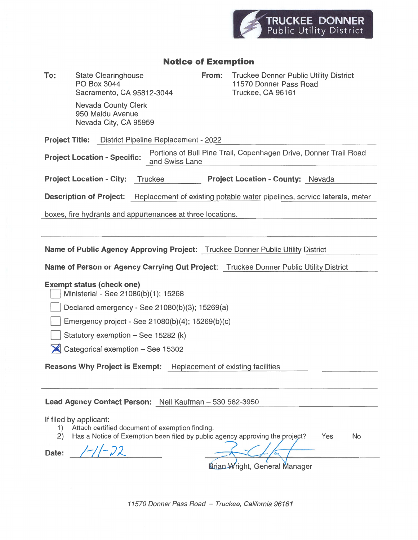

## Notice of Exemption

To: State Clearinghouse **From:** Truckee Donner Public Utility District PO Box 3044 **11570 Donner Pass Road** Sacramento, CA 95812-3044 Truckee, CA 96161

> Nevada County Clerk 950 Maidu Avenue Nevada City, CA 95959

Project Title: District Pipeline Replacement - 2022

Project Location - Specific: Portions of Bull Pine Trail, Copenhagen Drive, Donner Trail Road **To:** State Clearinghouse<br>
For: State Clearinghouse<br>
Post 2044<br>
From: Truckee Donner Public Usitey District<br>
Statemento, CA 95812-3044<br>
Newada Cluy, CA 95952<br>
Statemento, CA 95812-3044<br>
Newada Cluy, CA 95959<br>
Project Truc

Project Location - City: Truckee Project Location - County: Nevada

Description of Project: Replacement of existing potable water pipelines, service laterals, meter

boxes, fire hydrants and appurtenances at three locations.

Name of Public Agency Approving Project: Truckee Donner Public Utility District

Name of Person or Agency Carrying Out Project: Truckee Donner Public Utility District

### Exempt status (check one)

El Ministerial - See 21080(b)(1); <sup>15268</sup>

Declared emergency - See 21080(b)(3); 15269(a)

Emergency project - See 21080(b)(4); 15269(b)(c)

Statutory exemption - See 15282 (k)

**X** Categorical exemption – See 15302

Reasons Why Project is Exempt: Replacement of existing facilities

### Lead Agency Contact Person: Neil Kaufman — 530 582-3950

If filed by applicant:

1) Attach certified document of exemption finding.

2) Has a Notice of Exemption been filed by public agency approving the uniquent? Yes No

Date: